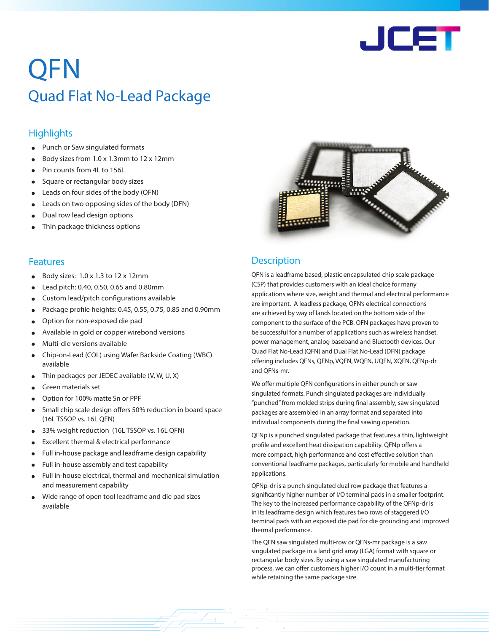

# QFN Quad Flat No-Lead Package

## **Highlights**

- Punch or Saw singulated formats
- Body sizes from 1.0 x 1.3mm to 12 x 12mm
- Pin counts from 4L to 156L
- Square or rectangular body sizes
- Leads on four sides of the body (QFN)
- Leads on two opposing sides of the body (DFN)
- Dual row lead design options
- Thin package thickness options

#### Features

- Body sizes: 1.0 x 1.3 to 12 x 12mm
- Lead pitch: 0.40, 0.50, 0.65 and 0.80mm
- Custom lead/pitch configurations available
- Package profile heights: 0.45, 0.55, 0.75, 0.85 and 0.90mm
- Option for non-exposed die pad
- Available in gold or copper wirebond versions
- Multi-die versions available
- Chip-on-Lead (COL) using Wafer Backside Coating (WBC) available
- Thin packages per JEDEC available (V, W, U, X)
- Green materials set
- Option for 100% matte Sn or PPF
- Small chip scale design offers 50% reduction in board space (16L TSSOP vs. 16L QFN)
- 33% weight reduction (16L TSSOP vs. 16L QFN)
- Excellent thermal & electrical performance
- Full in-house package and leadframe design capability
- Full in-house assembly and test capability
- Full in-house electrical, thermal and mechanical simulation and measurement capability
- Wide range of open tool leadframe and die pad sizes available



## **Description**

QFN is a leadframe based, plastic encapsulated chip scale package (CSP) that provides customers with an ideal choice for many applications where size, weight and thermal and electrical performance are important. A leadless package, QFN's electrical connections are achieved by way of lands located on the bottom side of the component to the surface of the PCB. QFN packages have proven to be successful for a number of applications such as wireless handset, power management, analog baseband and Bluetooth devices. Our Quad Flat No-Lead (QFN) and Dual Flat No-Lead (DFN) package offering includes QFNs, QFNp, VQFN, WQFN, UQFN, XQFN, QFNp-dr and QFNs-mr.

We offer multiple QFN configurations in either punch or saw singulated formats. Punch singulated packages are individually "punched" from molded strips during final assembly; saw singulated packages are assembled in an array format and separated into individual components during the final sawing operation.

QFNp is a punched singulated package that features a thin, lightweight profile and excellent heat dissipation capability. QFNp offers a more compact, high performance and cost effective solution than conventional leadframe packages, particularly for mobile and handheld applications.

QFNp-dr is a punch singulated dual row package that features a significantly higher number of I/O terminal pads in a smaller footprint. The key to the increased performance capability of the QFNp-dr is in its leadframe design which features two rows of staggered I/O terminal pads with an exposed die pad for die grounding and improved thermal performance.

The QFN saw singulated multi-row or QFNs-mr package is a saw singulated package in a land grid array (LGA) format with square or rectangular body sizes. By using a saw singulated manufacturing process, we can offer customers higher I/O count in a multi-tier format while retaining the same package size.